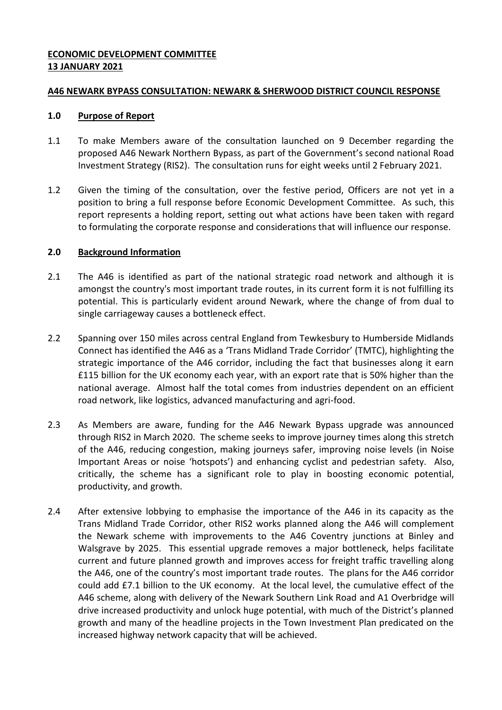# **ECONOMIC DEVELOPMENT COMMITTEE 13 JANUARY 2021**

### **A46 NEWARK BYPASS CONSULTATION: NEWARK & SHERWOOD DISTRICT COUNCIL RESPONSE**

#### **1.0 Purpose of Report**

- 1.1 To make Members aware of the consultation launched on 9 December regarding the proposed A46 Newark Northern Bypass, as part of the Government's second national Road Investment Strategy (RIS2). The consultation runs for eight weeks until 2 February 2021.
- 1.2 Given the timing of the consultation, over the festive period, Officers are not yet in a position to bring a full response before Economic Development Committee. As such, this report represents a holding report, setting out what actions have been taken with regard to formulating the corporate response and considerations that will influence our response.

### **2.0 Background Information**

- 2.1 The A46 is identified as part of the national strategic road network and although it is amongst the country's most important trade routes, in its current form it is not fulfilling its potential. This is particularly evident around Newark, where the change of from dual to single carriageway causes a bottleneck effect.
- 2.2 Spanning over 150 miles across central England from Tewkesbury to Humberside Midlands Connect has identified the A46 as a 'Trans Midland Trade Corridor' (TMTC), highlighting the strategic importance of the A46 corridor, including the fact that businesses along it earn £115 billion for the UK economy each year, with an export rate that is 50% higher than the national average. Almost half the total comes from industries dependent on an efficient road network, like logistics, advanced manufacturing and agri-food.
- 2.3 As Members are aware, funding for the A46 Newark Bypass upgrade was announced through RIS2 in March 2020. The scheme seeks to improve journey times along this stretch of the A46, reducing congestion, making journeys safer, improving noise levels (in Noise Important Areas or noise 'hotspots') and enhancing cyclist and pedestrian safety. Also, critically, the scheme has a significant role to play in boosting economic potential, productivity, and growth.
- 2.4 After extensive lobbying to emphasise the importance of the A46 in its capacity as the Trans Midland Trade Corridor, other RIS2 works planned along the A46 will complement the Newark scheme with improvements to the A46 Coventry junctions at Binley and Walsgrave by 2025. This essential upgrade removes a major bottleneck, helps facilitate current and future planned growth and improves access for freight traffic travelling along the A46, one of the country's most important trade routes. The plans for the A46 corridor could add £7.1 billion to the UK economy. At the local level, the cumulative effect of the A46 scheme, along with delivery of the Newark Southern Link Road and A1 Overbridge will drive increased productivity and unlock huge potential, with much of the District's planned growth and many of the headline projects in the Town Investment Plan predicated on the increased highway network capacity that will be achieved.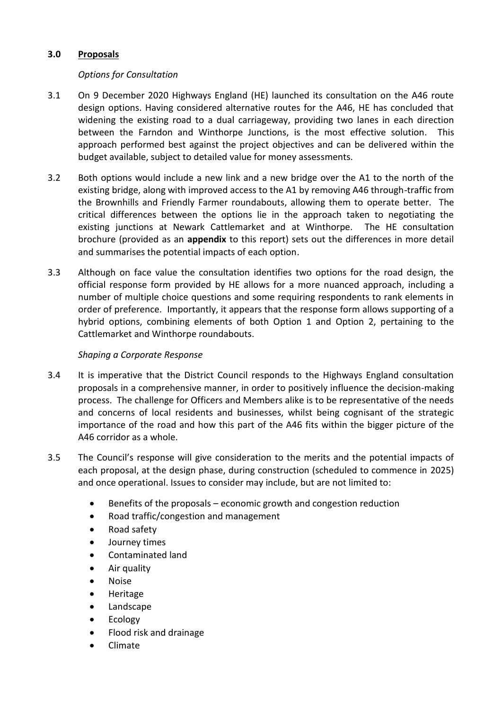# **3.0 Proposals**

# *Options for Consultation*

- 3.1 On 9 December 2020 Highways England (HE) launched its consultation on the A46 route design options. Having considered alternative routes for the A46, HE has concluded that widening the existing road to a dual carriageway, providing two lanes in each direction between the Farndon and Winthorpe Junctions, is the most effective solution. This approach performed best against the project objectives and can be delivered within the budget available, subject to detailed value for money assessments.
- 3.2 Both options would include a new link and a new bridge over the A1 to the north of the existing bridge, along with improved access to the A1 by removing A46 through-traffic from the Brownhills and Friendly Farmer roundabouts, allowing them to operate better. The critical differences between the options lie in the approach taken to negotiating the existing junctions at Newark Cattlemarket and at Winthorpe. The HE consultation brochure (provided as an **appendix** to this report) sets out the differences in more detail and summarises the potential impacts of each option.
- 3.3 Although on face value the consultation identifies two options for the road design, the official response form provided by HE allows for a more nuanced approach, including a number of multiple choice questions and some requiring respondents to rank elements in order of preference. Importantly, it appears that the response form allows supporting of a hybrid options, combining elements of both Option 1 and Option 2, pertaining to the Cattlemarket and Winthorpe roundabouts.

### *Shaping a Corporate Response*

- 3.4 It is imperative that the District Council responds to the Highways England consultation proposals in a comprehensive manner, in order to positively influence the decision-making process. The challenge for Officers and Members alike is to be representative of the needs and concerns of local residents and businesses, whilst being cognisant of the strategic importance of the road and how this part of the A46 fits within the bigger picture of the A46 corridor as a whole.
- 3.5 The Council's response will give consideration to the merits and the potential impacts of each proposal, at the design phase, during construction (scheduled to commence in 2025) and once operational. Issues to consider may include, but are not limited to:
	- Benefits of the proposals economic growth and congestion reduction
	- Road traffic/congestion and management
	- Road safety
	- Journey times
	- Contaminated land
	- Air quality
	- Noise
	- Heritage
	- Landscape
	- Ecology
	- Flood risk and drainage
	- Climate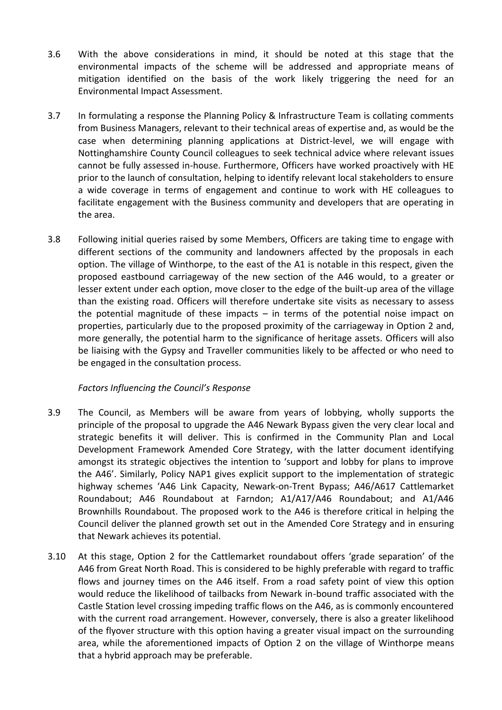- 3.6 With the above considerations in mind, it should be noted at this stage that the environmental impacts of the scheme will be addressed and appropriate means of mitigation identified on the basis of the work likely triggering the need for an Environmental Impact Assessment.
- 3.7 In formulating a response the Planning Policy & Infrastructure Team is collating comments from Business Managers, relevant to their technical areas of expertise and, as would be the case when determining planning applications at District-level, we will engage with Nottinghamshire County Council colleagues to seek technical advice where relevant issues cannot be fully assessed in-house. Furthermore, Officers have worked proactively with HE prior to the launch of consultation, helping to identify relevant local stakeholders to ensure a wide coverage in terms of engagement and continue to work with HE colleagues to facilitate engagement with the Business community and developers that are operating in the area.
- 3.8 Following initial queries raised by some Members, Officers are taking time to engage with different sections of the community and landowners affected by the proposals in each option. The village of Winthorpe, to the east of the A1 is notable in this respect, given the proposed eastbound carriageway of the new section of the A46 would, to a greater or lesser extent under each option, move closer to the edge of the built-up area of the village than the existing road. Officers will therefore undertake site visits as necessary to assess the potential magnitude of these impacts  $-$  in terms of the potential noise impact on properties, particularly due to the proposed proximity of the carriageway in Option 2 and, more generally, the potential harm to the significance of heritage assets. Officers will also be liaising with the Gypsy and Traveller communities likely to be affected or who need to be engaged in the consultation process.

### *Factors Influencing the Council's Response*

- 3.9 The Council, as Members will be aware from years of lobbying, wholly supports the principle of the proposal to upgrade the A46 Newark Bypass given the very clear local and strategic benefits it will deliver. This is confirmed in the Community Plan and Local Development Framework Amended Core Strategy, with the latter document identifying amongst its strategic objectives the intention to 'support and lobby for plans to improve the A46'. Similarly, Policy NAP1 gives explicit support to the implementation of strategic highway schemes 'A46 Link Capacity, Newark-on-Trent Bypass; A46/A617 Cattlemarket Roundabout; A46 Roundabout at Farndon; A1/A17/A46 Roundabout; and A1/A46 Brownhills Roundabout. The proposed work to the A46 is therefore critical in helping the Council deliver the planned growth set out in the Amended Core Strategy and in ensuring that Newark achieves its potential.
- 3.10 At this stage, Option 2 for the Cattlemarket roundabout offers 'grade separation' of the A46 from Great North Road. This is considered to be highly preferable with regard to traffic flows and journey times on the A46 itself. From a road safety point of view this option would reduce the likelihood of tailbacks from Newark in-bound traffic associated with the Castle Station level crossing impeding traffic flows on the A46, as is commonly encountered with the current road arrangement. However, conversely, there is also a greater likelihood of the flyover structure with this option having a greater visual impact on the surrounding area, while the aforementioned impacts of Option 2 on the village of Winthorpe means that a hybrid approach may be preferable.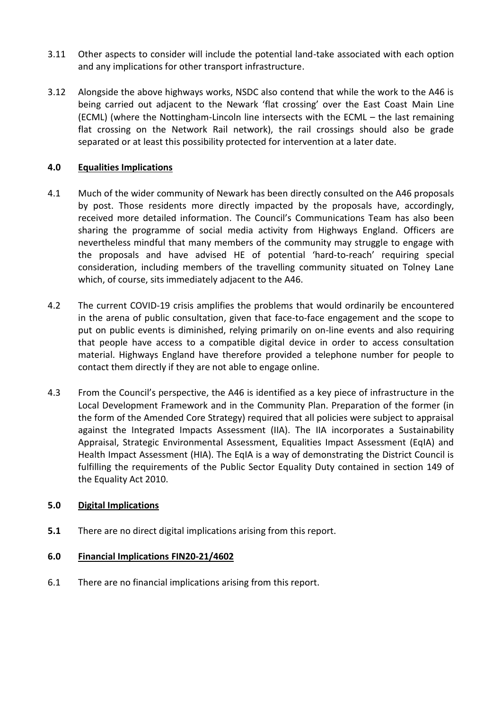- 3.11 Other aspects to consider will include the potential land-take associated with each option and any implications for other transport infrastructure.
- 3.12 Alongside the above highways works, NSDC also contend that while the work to the A46 is being carried out adjacent to the Newark 'flat crossing' over the East Coast Main Line (ECML) (where the Nottingham-Lincoln line intersects with the ECML – the last remaining flat crossing on the Network Rail network), the rail crossings should also be grade separated or at least this possibility protected for intervention at a later date.

## **4.0 Equalities Implications**

- 4.1 Much of the wider community of Newark has been directly consulted on the A46 proposals by post. Those residents more directly impacted by the proposals have, accordingly, received more detailed information. The Council's Communications Team has also been sharing the programme of social media activity from Highways England. Officers are nevertheless mindful that many members of the community may struggle to engage with the proposals and have advised HE of potential 'hard-to-reach' requiring special consideration, including members of the travelling community situated on Tolney Lane which, of course, sits immediately adjacent to the A46.
- 4.2 The current COVID-19 crisis amplifies the problems that would ordinarily be encountered in the arena of public consultation, given that face-to-face engagement and the scope to put on public events is diminished, relying primarily on on-line events and also requiring that people have access to a compatible digital device in order to access consultation material. Highways England have therefore provided a telephone number for people to contact them directly if they are not able to engage online.
- 4.3 From the Council's perspective, the A46 is identified as a key piece of infrastructure in the Local Development Framework and in the Community Plan. Preparation of the former (in the form of the Amended Core Strategy) required that all policies were subject to appraisal against the Integrated Impacts Assessment (IIA). The IIA incorporates a Sustainability Appraisal, Strategic Environmental Assessment, Equalities Impact Assessment (EqIA) and Health Impact Assessment (HIA). The EqIA is a way of demonstrating the District Council is fulfilling the requirements of the Public Sector Equality Duty contained in section 149 of the Equality Act 2010.

### **5.0 Digital Implications**

**5.1** There are no direct digital implications arising from this report.

### **6.0 Financial Implications FIN20-21/4602**

6.1 There are no financial implications arising from this report.